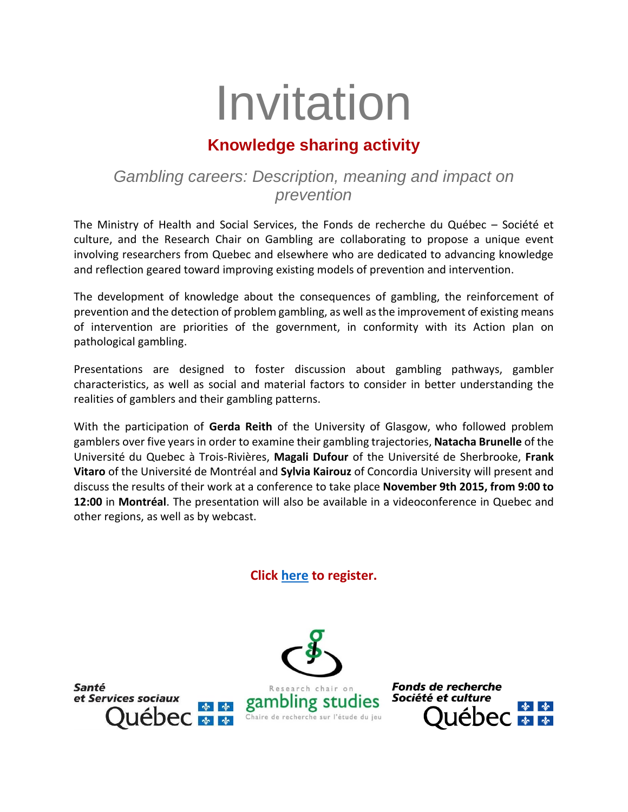# Invitation

## **Knowledge sharing activity**

## *Gambling careers: Description, meaning and impact on prevention*

The Ministry of Health and Social Services, the Fonds de recherche du Québec – Société et culture, and the Research Chair on Gambling are collaborating to propose a unique event involving researchers from Quebec and elsewhere who are dedicated to advancing knowledge and reflection geared toward improving existing models of prevention and intervention.

The development of knowledge about the consequences of gambling, the reinforcement of prevention and the detection of problem gambling, as well as the improvement of existing means of intervention are priorities of the government, in conformity with its Action plan on pathological gambling.

Presentations are designed to foster discussion about gambling pathways, gambler characteristics, as well as social and material factors to consider in better understanding the realities of gamblers and their gambling patterns.

With the participation of **Gerda Reith** of the University of Glasgow, who followed problem gamblers over five years in order to examine their gambling trajectories, **Natacha Brunelle** of the Université du Quebec à Trois-Rivières, **Magali Dufour** of the Université de Sherbrooke, **Frank Vitaro** of the Université de Montréal and **Sylvia Kairouz** of Concordia University will present and discuss the results of their work at a conference to take place **November 9th 2015, from 9:00 to 12:00** in **Montréal**. The presentation will also be available in a videoconference in Quebec and other regions, as well as by webcast.

### **Click [here](https://www.fqr.gouv.qc.ca/pls/forum/forum_ins.accueil?pOrg=SC&pforum=290) to register.**